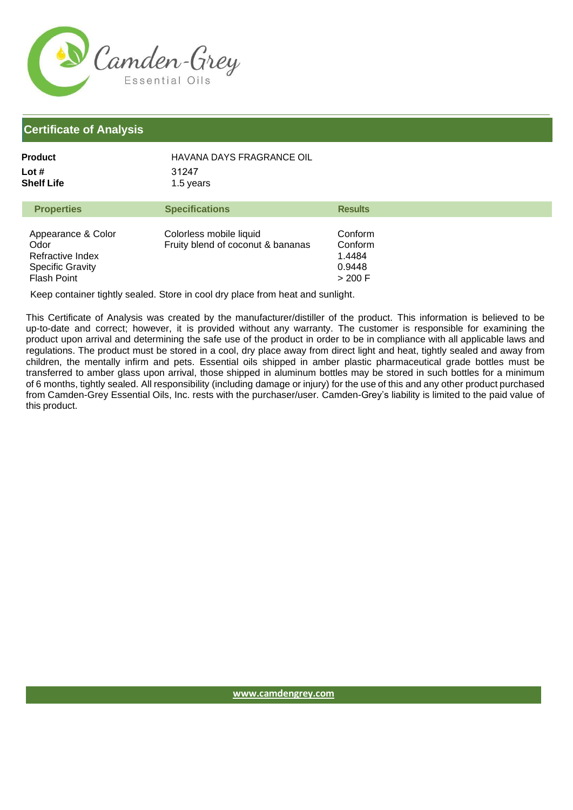

## **Certificate of Analysis**

| Product    | HAVANA DAYS FRAGRANCE OIL |
|------------|---------------------------|
| Lot #      | 31247<br>1.5 years        |
| Shelf Life |                           |

| <b>Properties</b>                                                                        | <b>Specifications</b>                                        | <b>Results</b>                                    |
|------------------------------------------------------------------------------------------|--------------------------------------------------------------|---------------------------------------------------|
| Appearance & Color<br>Odor<br>Refractive Index<br><b>Specific Gravity</b><br>Flash Point | Colorless mobile liquid<br>Fruity blend of coconut & bananas | Conform<br>Conform<br>1.4484<br>0.9448<br>> 200 F |

Keep container tightly sealed. Store in cool dry place from heat and sunlight.

This Certificate of Analysis was created by the manufacturer/distiller of the product. This information is believed to be up-to-date and correct; however, it is provided without any warranty. The customer is responsible for examining the product upon arrival and determining the safe use of the product in order to be in compliance with all applicable laws and regulations. The product must be stored in a cool, dry place away from direct light and heat, tightly sealed and away from children, the mentally infirm and pets. Essential oils shipped in amber plastic pharmaceutical grade bottles must be transferred to amber glass upon arrival, those shipped in aluminum bottles may be stored in such bottles for a minimum of 6 months, tightly sealed. All responsibility (including damage or injury) for the use of this and any other product purchased from Camden-Grey Essential Oils, Inc. rests with the purchaser/user. Camden-Grey's liability is limited to the paid value of this product.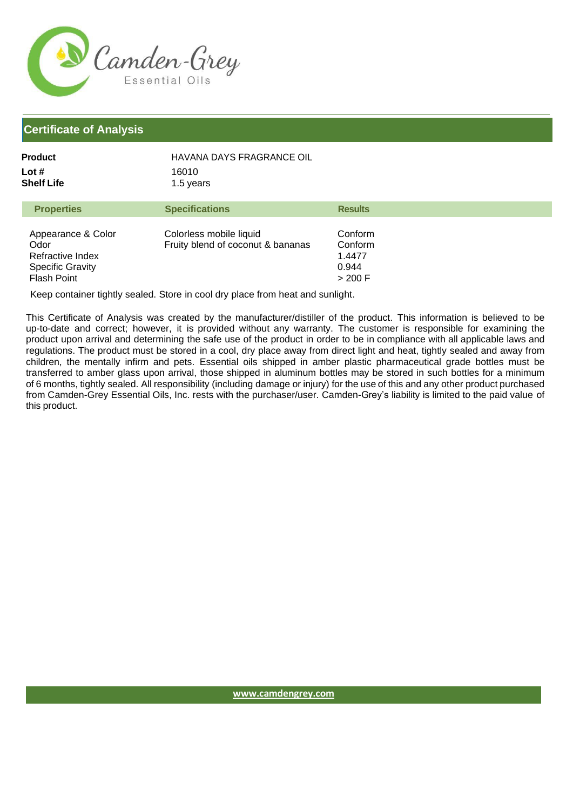

## **Certificate of Analysis**

| Product             | HAVANA DAYS FRAGRANCE OIL |
|---------------------|---------------------------|
| Lot #<br>Shelf Life | 16010<br>1.5 years        |
|                     |                           |

| <b>Properties</b>                                                                               | <b>Specifications</b>                                        | <b>Results</b>                                     |
|-------------------------------------------------------------------------------------------------|--------------------------------------------------------------|----------------------------------------------------|
| Appearance & Color<br>Odor<br>Refractive Index<br><b>Specific Gravity</b><br><b>Flash Point</b> | Colorless mobile liquid<br>Fruity blend of coconut & bananas | Conform<br>Conform<br>1.4477<br>0.944<br>$>$ 200 F |

Keep container tightly sealed. Store in cool dry place from heat and sunlight.

This Certificate of Analysis was created by the manufacturer/distiller of the product. This information is believed to be up-to-date and correct; however, it is provided without any warranty. The customer is responsible for examining the product upon arrival and determining the safe use of the product in order to be in compliance with all applicable laws and regulations. The product must be stored in a cool, dry place away from direct light and heat, tightly sealed and away from children, the mentally infirm and pets. Essential oils shipped in amber plastic pharmaceutical grade bottles must be transferred to amber glass upon arrival, those shipped in aluminum bottles may be stored in such bottles for a minimum of 6 months, tightly sealed. All responsibility (including damage or injury) for the use of this and any other product purchased from Camden-Grey Essential Oils, Inc. rests with the purchaser/user. Camden-Grey's liability is limited to the paid value of this product.